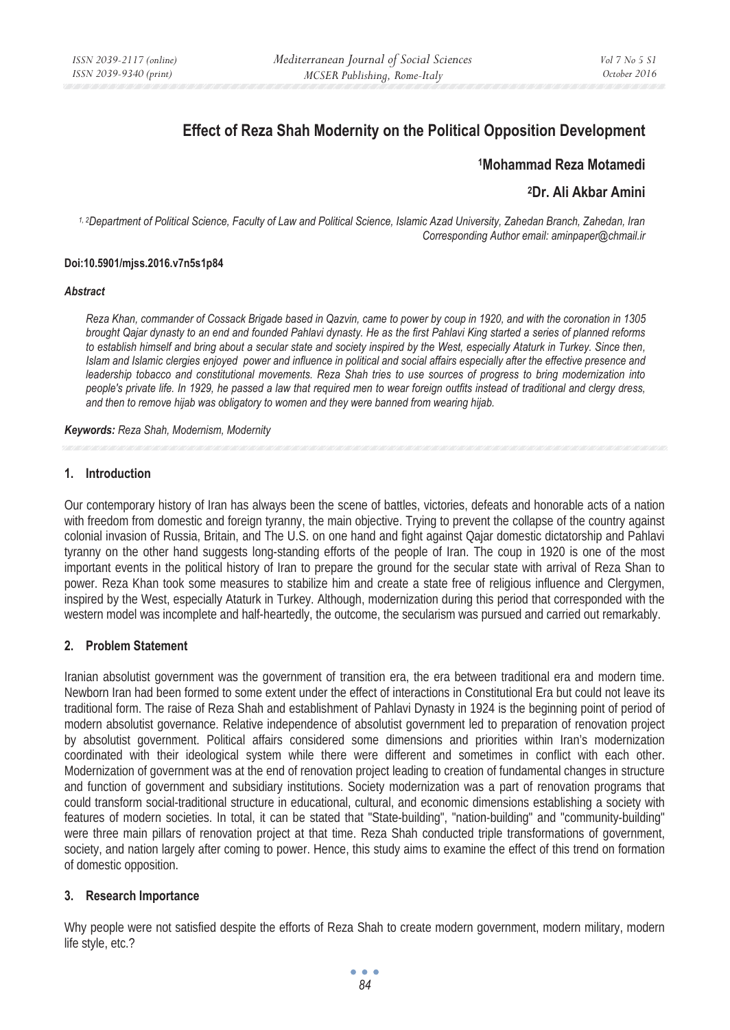# **Effect of Reza Shah Modernity on the Political Opposition Development**

## **1Mohammad Reza Motamedi**

# **2Dr. Ali Akbar Amini**

*1, 2Department of Political Science, Faculty of Law and Political Science, Islamic Azad University, Zahedan Branch, Zahedan, Iran Corresponding Author email: aminpaper@chmail.ir* 

#### **Doi:10.5901/mjss.2016.v7n5s1p84**

#### *Abstract*

*Reza Khan, commander of Cossack Brigade based in Qazvin, came to power by coup in 1920, and with the coronation in 1305 brought Qajar dynasty to an end and founded Pahlavi dynasty. He as the first Pahlavi King started a series of planned reforms to establish himself and bring about a secular state and society inspired by the West, especially Ataturk in Turkey. Since then, Islam and Islamic clergies enjoyed power and influence in political and social affairs especially after the effective presence and leadership tobacco and constitutional movements. Reza Shah tries to use sources of progress to bring modernization into people's private life. In 1929, he passed a law that required men to wear foreign outfits instead of traditional and clergy dress, and then to remove hijab was obligatory to women and they were banned from wearing hijab.* 

#### *Keywords: Reza Shah, Modernism, Modernity*

## **1. Introduction**

Our contemporary history of Iran has always been the scene of battles, victories, defeats and honorable acts of a nation with freedom from domestic and foreign tyranny, the main objective. Trying to prevent the collapse of the country against colonial invasion of Russia, Britain, and The U.S. on one hand and fight against Qajar domestic dictatorship and Pahlavi tyranny on the other hand suggests long-standing efforts of the people of Iran. The coup in 1920 is one of the most important events in the political history of Iran to prepare the ground for the secular state with arrival of Reza Shan to power. Reza Khan took some measures to stabilize him and create a state free of religious influence and Clergymen, inspired by the West, especially Ataturk in Turkey. Although, modernization during this period that corresponded with the western model was incomplete and half-heartedly, the outcome, the secularism was pursued and carried out remarkably.

## **2. Problem Statement**

Iranian absolutist government was the government of transition era, the era between traditional era and modern time. Newborn Iran had been formed to some extent under the effect of interactions in Constitutional Era but could not leave its traditional form. The raise of Reza Shah and establishment of Pahlavi Dynasty in 1924 is the beginning point of period of modern absolutist governance. Relative independence of absolutist government led to preparation of renovation project by absolutist government. Political affairs considered some dimensions and priorities within Iran's modernization coordinated with their ideological system while there were different and sometimes in conflict with each other. Modernization of government was at the end of renovation project leading to creation of fundamental changes in structure and function of government and subsidiary institutions. Society modernization was a part of renovation programs that could transform social-traditional structure in educational, cultural, and economic dimensions establishing a society with features of modern societies. In total, it can be stated that "State-building", "nation-building" and "community-building" were three main pillars of renovation project at that time. Reza Shah conducted triple transformations of government, society, and nation largely after coming to power. Hence, this study aims to examine the effect of this trend on formation of domestic opposition.

## **3. Research Importance**

Why people were not satisfied despite the efforts of Reza Shah to create modern government, modern military, modern life style, etc.?

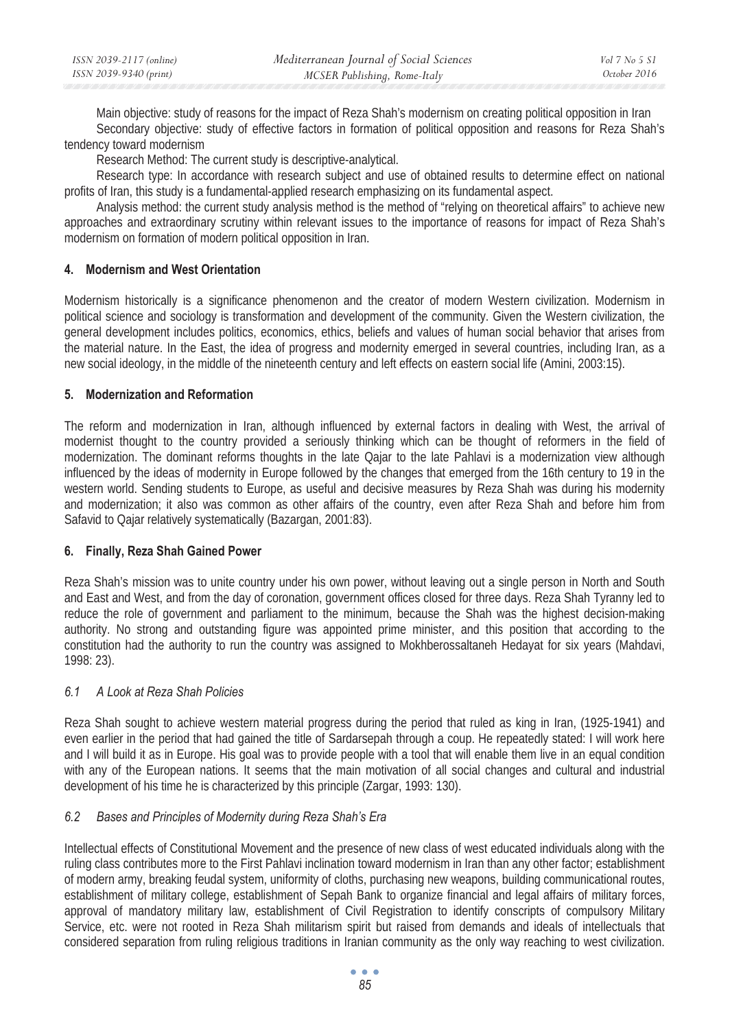| ISSN 2039-2117 (online) | Mediterranean Journal of Social Sciences | Vol 7 No 5 S1 |
|-------------------------|------------------------------------------|---------------|
| ISSN 2039-9340 (print)  | MCSER Publishing, Rome-Italy             | October 2016  |

Main objective: study of reasons for the impact of Reza Shah's modernism on creating political opposition in Iran Secondary objective: study of effective factors in formation of political opposition and reasons for Reza Shah's tendency toward modernism

Research Method: The current study is descriptive-analytical.

Research type: In accordance with research subject and use of obtained results to determine effect on national profits of Iran, this study is a fundamental-applied research emphasizing on its fundamental aspect.

Analysis method: the current study analysis method is the method of "relying on theoretical affairs" to achieve new approaches and extraordinary scrutiny within relevant issues to the importance of reasons for impact of Reza Shah's modernism on formation of modern political opposition in Iran.

## **4. Modernism and West Orientation**

Modernism historically is a significance phenomenon and the creator of modern Western civilization. Modernism in political science and sociology is transformation and development of the community. Given the Western civilization, the general development includes politics, economics, ethics, beliefs and values of human social behavior that arises from the material nature. In the East, the idea of progress and modernity emerged in several countries, including Iran, as a new social ideology, in the middle of the nineteenth century and left effects on eastern social life (Amini, 2003:15).

## **5. Modernization and Reformation**

The reform and modernization in Iran, although influenced by external factors in dealing with West, the arrival of modernist thought to the country provided a seriously thinking which can be thought of reformers in the field of modernization. The dominant reforms thoughts in the late Qajar to the late Pahlavi is a modernization view although influenced by the ideas of modernity in Europe followed by the changes that emerged from the 16th century to 19 in the western world. Sending students to Europe, as useful and decisive measures by Reza Shah was during his modernity and modernization; it also was common as other affairs of the country, even after Reza Shah and before him from Safavid to Qajar relatively systematically (Bazargan, 2001:83).

## **6. Finally, Reza Shah Gained Power**

Reza Shah's mission was to unite country under his own power, without leaving out a single person in North and South and East and West, and from the day of coronation, government offices closed for three days. Reza Shah Tyranny led to reduce the role of government and parliament to the minimum, because the Shah was the highest decision-making authority. No strong and outstanding figure was appointed prime minister, and this position that according to the constitution had the authority to run the country was assigned to Mokhberossaltaneh Hedayat for six years (Mahdavi, 1998: 23).

## *6.1 A Look at Reza Shah Policies*

Reza Shah sought to achieve western material progress during the period that ruled as king in Iran, (1925-1941) and even earlier in the period that had gained the title of Sardarsepah through a coup. He repeatedly stated: I will work here and I will build it as in Europe. His goal was to provide people with a tool that will enable them live in an equal condition with any of the European nations. It seems that the main motivation of all social changes and cultural and industrial development of his time he is characterized by this principle (Zargar, 1993: 130).

## *6.2 Bases and Principles of Modernity during Reza Shah's Era*

Intellectual effects of Constitutional Movement and the presence of new class of west educated individuals along with the ruling class contributes more to the First Pahlavi inclination toward modernism in Iran than any other factor; establishment of modern army, breaking feudal system, uniformity of cloths, purchasing new weapons, building communicational routes, establishment of military college, establishment of Sepah Bank to organize financial and legal affairs of military forces, approval of mandatory military law, establishment of Civil Registration to identify conscripts of compulsory Military Service, etc. were not rooted in Reza Shah militarism spirit but raised from demands and ideals of intellectuals that considered separation from ruling religious traditions in Iranian community as the only way reaching to west civilization.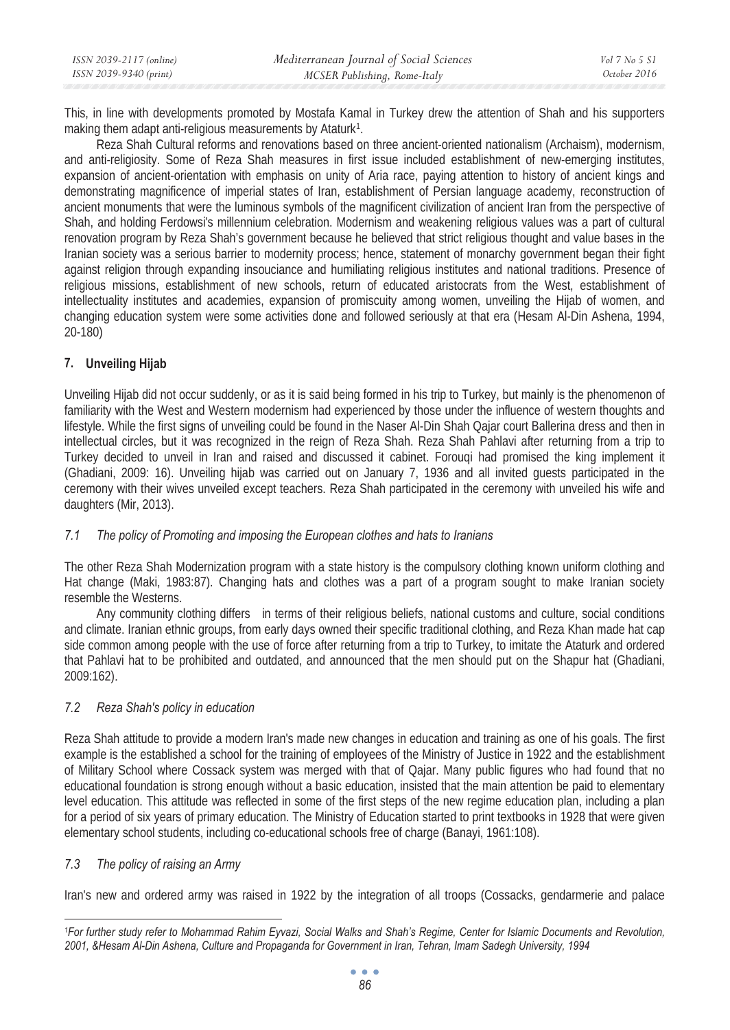| ISSN 2039-2117 (online) | Mediterranean Journal of Social Sciences | Vol 7 No 5 S1 |
|-------------------------|------------------------------------------|---------------|
| ISSN 2039-9340 (print)  | MCSER Publishing, Rome-Italy             | October 2016  |

This, in line with developments promoted by Mostafa Kamal in Turkey drew the attention of Shah and his supporters making them adapt anti-religious measurements by Ataturk<sup>1</sup>.

Reza Shah Cultural reforms and renovations based on three ancient-oriented nationalism (Archaism), modernism, and anti-religiosity. Some of Reza Shah measures in first issue included establishment of new-emerging institutes, expansion of ancient-orientation with emphasis on unity of Aria race, paying attention to history of ancient kings and demonstrating magnificence of imperial states of Iran, establishment of Persian language academy, reconstruction of ancient monuments that were the luminous symbols of the magnificent civilization of ancient Iran from the perspective of Shah, and holding Ferdowsi's millennium celebration. Modernism and weakening religious values was a part of cultural renovation program by Reza Shah's government because he believed that strict religious thought and value bases in the Iranian society was a serious barrier to modernity process; hence, statement of monarchy government began their fight against religion through expanding insouciance and humiliating religious institutes and national traditions. Presence of religious missions, establishment of new schools, return of educated aristocrats from the West, establishment of intellectuality institutes and academies, expansion of promiscuity among women, unveiling the Hijab of women, and changing education system were some activities done and followed seriously at that era (Hesam Al-Din Ashena, 1994, 20-180)

# **7. Unveiling Hijab**

Unveiling Hijab did not occur suddenly, or as it is said being formed in his trip to Turkey, but mainly is the phenomenon of familiarity with the West and Western modernism had experienced by those under the influence of western thoughts and lifestyle. While the first signs of unveiling could be found in the Naser Al-Din Shah Qajar court Ballerina dress and then in intellectual circles, but it was recognized in the reign of Reza Shah. Reza Shah Pahlavi after returning from a trip to Turkey decided to unveil in Iran and raised and discussed it cabinet. Forouqi had promised the king implement it (Ghadiani, 2009: 16). Unveiling hijab was carried out on January 7, 1936 and all invited guests participated in the ceremony with their wives unveiled except teachers. Reza Shah participated in the ceremony with unveiled his wife and daughters (Mir, 2013).

# *7.1 The policy of Promoting and imposing the European clothes and hats to Iranians*

The other Reza Shah Modernization program with a state history is the compulsory clothing known uniform clothing and Hat change (Maki, 1983:87). Changing hats and clothes was a part of a program sought to make Iranian society resemble the Westerns.

Any community clothing differs in terms of their religious beliefs, national customs and culture, social conditions and climate. Iranian ethnic groups, from early days owned their specific traditional clothing, and Reza Khan made hat cap side common among people with the use of force after returning from a trip to Turkey, to imitate the Ataturk and ordered that Pahlavi hat to be prohibited and outdated, and announced that the men should put on the Shapur hat (Ghadiani, 2009:162).

# *7.2 Reza Shah's policy in education*

Reza Shah attitude to provide a modern Iran's made new changes in education and training as one of his goals. The first example is the established a school for the training of employees of the Ministry of Justice in 1922 and the establishment of Military School where Cossack system was merged with that of Qajar. Many public figures who had found that no educational foundation is strong enough without a basic education, insisted that the main attention be paid to elementary level education. This attitude was reflected in some of the first steps of the new regime education plan, including a plan for a period of six years of primary education. The Ministry of Education started to print textbooks in 1928 that were given elementary school students, including co-educational schools free of charge (Banayi, 1961:108).

# *7.3 The policy of raising an Army*

Iran's new and ordered army was raised in 1922 by the integration of all troops (Cossacks, gendarmerie and palace

*<sup>1</sup>For further study refer to Mohammad Rahim Eyvazi, Social Walks and Shah's Regime, Center for Islamic Documents and Revolution, 2001, &Hesam Al-Din Ashena, Culture and Propaganda for Government in Iran, Tehran, Imam Sadegh University, 1994*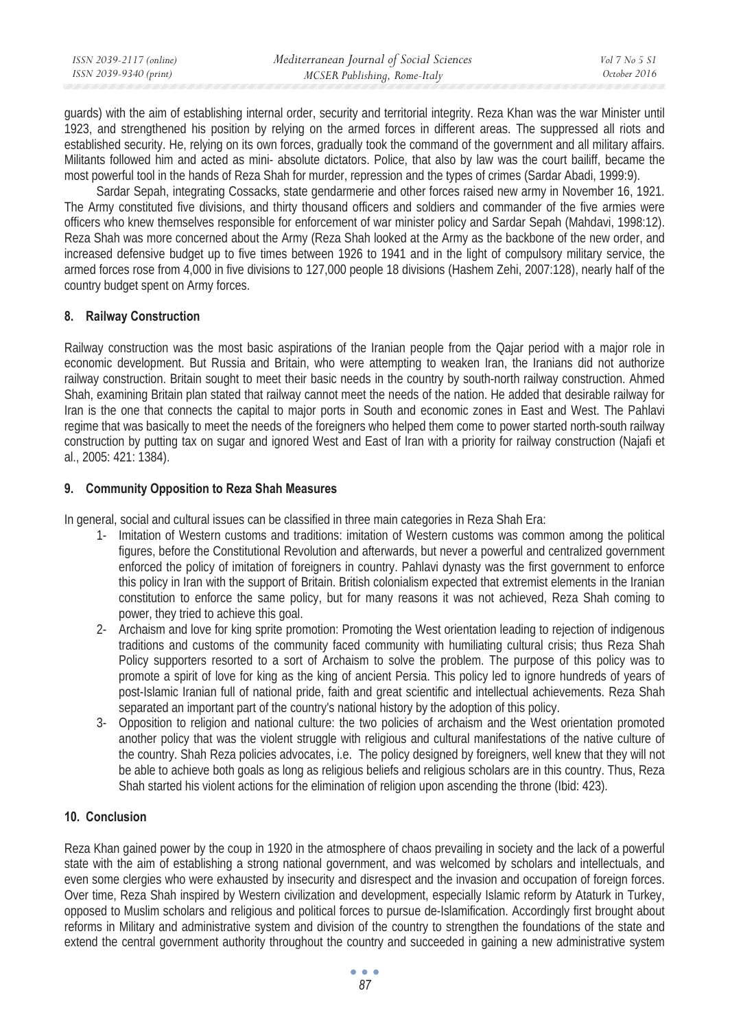| ISSN 2039-2117 (online) | Mediterranean Journal of Social Sciences | Vol 7 No 5 S1 |
|-------------------------|------------------------------------------|---------------|
| ISSN 2039-9340 (print)  | MCSER Publishing, Rome-Italy             | October 2016  |

guards) with the aim of establishing internal order, security and territorial integrity. Reza Khan was the war Minister until 1923, and strengthened his position by relying on the armed forces in different areas. The suppressed all riots and established security. He, relying on its own forces, gradually took the command of the government and all military affairs. Militants followed him and acted as mini- absolute dictators. Police, that also by law was the court bailiff, became the most powerful tool in the hands of Reza Shah for murder, repression and the types of crimes (Sardar Abadi, 1999:9).

Sardar Sepah, integrating Cossacks, state gendarmerie and other forces raised new army in November 16, 1921. The Army constituted five divisions, and thirty thousand officers and soldiers and commander of the five armies were officers who knew themselves responsible for enforcement of war minister policy and Sardar Sepah (Mahdavi, 1998:12). Reza Shah was more concerned about the Army (Reza Shah looked at the Army as the backbone of the new order, and increased defensive budget up to five times between 1926 to 1941 and in the light of compulsory military service, the armed forces rose from 4,000 in five divisions to 127,000 people 18 divisions (Hashem Zehi, 2007:128), nearly half of the country budget spent on Army forces.

# **8. Railway Construction**

Railway construction was the most basic aspirations of the Iranian people from the Qajar period with a major role in economic development. But Russia and Britain, who were attempting to weaken Iran, the Iranians did not authorize railway construction. Britain sought to meet their basic needs in the country by south-north railway construction. Ahmed Shah, examining Britain plan stated that railway cannot meet the needs of the nation. He added that desirable railway for Iran is the one that connects the capital to major ports in South and economic zones in East and West. The Pahlavi regime that was basically to meet the needs of the foreigners who helped them come to power started north-south railway construction by putting tax on sugar and ignored West and East of Iran with a priority for railway construction (Najafi et al., 2005: 421: 1384).

## **9. Community Opposition to Reza Shah Measures**

In general, social and cultural issues can be classified in three main categories in Reza Shah Era:

- 1- Imitation of Western customs and traditions: imitation of Western customs was common among the political figures, before the Constitutional Revolution and afterwards, but never a powerful and centralized government enforced the policy of imitation of foreigners in country. Pahlavi dynasty was the first government to enforce this policy in Iran with the support of Britain. British colonialism expected that extremist elements in the Iranian constitution to enforce the same policy, but for many reasons it was not achieved, Reza Shah coming to power, they tried to achieve this goal.
- 2- Archaism and love for king sprite promotion: Promoting the West orientation leading to rejection of indigenous traditions and customs of the community faced community with humiliating cultural crisis; thus Reza Shah Policy supporters resorted to a sort of Archaism to solve the problem. The purpose of this policy was to promote a spirit of love for king as the king of ancient Persia. This policy led to ignore hundreds of years of post-Islamic Iranian full of national pride, faith and great scientific and intellectual achievements. Reza Shah separated an important part of the country's national history by the adoption of this policy.
- 3- Opposition to religion and national culture: the two policies of archaism and the West orientation promoted another policy that was the violent struggle with religious and cultural manifestations of the native culture of the country. Shah Reza policies advocates, i.e. The policy designed by foreigners, well knew that they will not be able to achieve both goals as long as religious beliefs and religious scholars are in this country. Thus, Reza Shah started his violent actions for the elimination of religion upon ascending the throne (Ibid: 423).

# **10. Conclusion**

Reza Khan gained power by the coup in 1920 in the atmosphere of chaos prevailing in society and the lack of a powerful state with the aim of establishing a strong national government, and was welcomed by scholars and intellectuals, and even some clergies who were exhausted by insecurity and disrespect and the invasion and occupation of foreign forces. Over time, Reza Shah inspired by Western civilization and development, especially Islamic reform by Ataturk in Turkey, opposed to Muslim scholars and religious and political forces to pursue de-Islamification. Accordingly first brought about reforms in Military and administrative system and division of the country to strengthen the foundations of the state and extend the central government authority throughout the country and succeeded in gaining a new administrative system